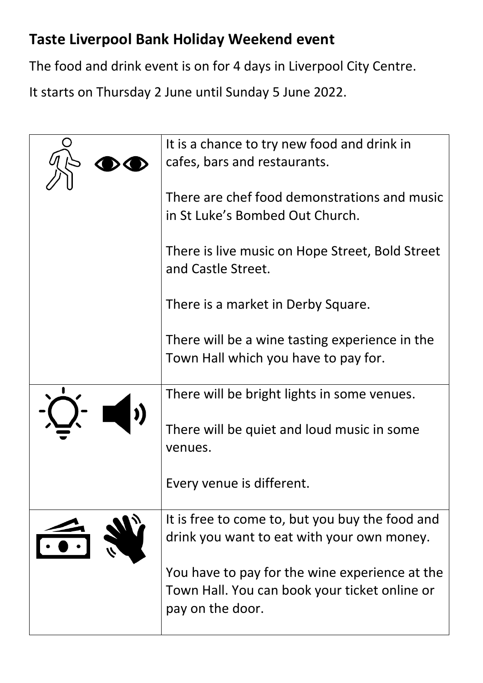## **Taste Liverpool Bank Holiday Weekend event**

The food and drink event is on for 4 days in Liverpool City Centre.

It starts on Thursday 2 June until Sunday 5 June 2022.

| It is a chance to try new food and drink in<br>cafes, bars and restaurants.                                         |
|---------------------------------------------------------------------------------------------------------------------|
| There are chef food demonstrations and music<br>in St Luke's Bombed Out Church.                                     |
| There is live music on Hope Street, Bold Street<br>and Castle Street.                                               |
| There is a market in Derby Square.                                                                                  |
| There will be a wine tasting experience in the<br>Town Hall which you have to pay for.                              |
| There will be bright lights in some venues.                                                                         |
| There will be quiet and loud music in some<br>venues.                                                               |
| Every venue is different.                                                                                           |
| It is free to come to, but you buy the food and<br>drink you want to eat with your own money.                       |
| You have to pay for the wine experience at the<br>Town Hall. You can book your ticket online or<br>pay on the door. |